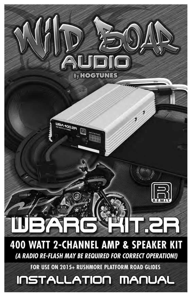# By **HOGTUNES** 95.00 HZE **400 WATT 2-CHANNEL AMP & SPEAKER KIT**

(A RADIO RE-FLASH MAY BE REQUIRED FOR CORRECT OPERATION!)

FOR USE ON 2015+ RUSHMORE PLATFORM ROAD GLIDES

# INSTALLATION MANUAL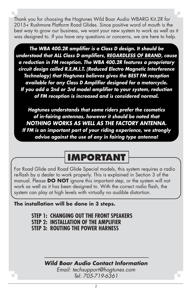Thank you for choosing the Hogtunes Wild Boar Audio WBARG Kit.2R for 2015+ Rushmore Platform Road Glides. Since positive word of mouth is the best way to grow our business, we want your new system to work as well as it was designed to. If you have any questions or concerns, we are here to help.

*The WBA 400.2R amplifier is a Class D design. It should be understood that ALL Class D amplifiers, REGARDLESS OF BRAND, cause a reduction in FM reception. The WBA 400.2R features a proprietary circuit design called R.E.M.I.T. (Reduced Electro Magnetic Interference Technology) that Hogtunes believes gives the BEST FM reception available for any Class D Amplifier designed for a motorcycle. If you add a 2nd or 3rd model amplifier to your system, reduction of FM reception is increased and is considered normal.*

*Hogtunes understands that some riders prefer the cosmetics of in-fairing antennas, however it should be noted that NOTHING WORKS AS WELL AS THE FACTORY ANTENNA. If FM is an important part of your riding experience, we strongly advise against the use of any in fairing type antenna!*

# **IMPORTANT**

For Road Glide and Road Glide Special models, this system requires a radio re-flash by a dealer to work properly. This is explained in Section 3 of the manual. Please **DO NOT** ignore this important step, or the system will not work as well as it has been designed to. With the correct radio flash, the system can play at high levels with virtually no audible distortion.

#### **The installation will be done in 3 steps.**

**STEP 1: CHANGING OUT THE FRONT SPEAKERS STEP 2: INSTALLATION OF THE AMPLIFIER STEP 3: ROUTING THE POWER HARNESS**

## *Wild Boar Audio Contact Information*

*Email: techsupport@hogtunes.com Tel: 705-719-6361*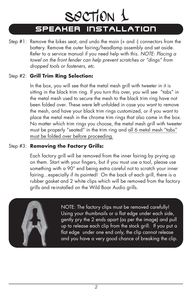# SPEAKER INSTALLATION section 1

Step #1: Remove the bikes seat, and undo the main (+ and -) connectors from the battery. Remove the outer fairing/headlamp assembly and set aside. Refer to a service manual if you need help with this. *NOTE: Placing a towel on the front fender can help prevent scratches or "dings" from dropped tools or fasteners, etc.* 

#### Step #2: **Grill Trim Ring Selection:**

In the box, you will see that the metal mesh grill with tweeter in it is sitting in the black trim ring. If you turn this over, you will see "tabs" in the metal mesh used to secure the mesh to the black trim ring have not been folded over. These were left unfolded in case you want to remove the mesh, and have your black trim rings customized, or if you want to place the metal mesh in the chrome trim rings that also came in the box. No matter which trim rings you choose, the metal mesh grill with tweeter must be properly "seated" in the trim ring and all 6 metal mesh "tabs" must be folded over before proceeding.

## Step #3: **Removing the Factory Grills:**

Each factory grill will be removed from the inner fairing by prying up on them. Start with your fingers, but if you must use a tool, please use something with a 90° end being extra careful not to scratch your inner fairing...especially if its painted! On the back of each grill, there is a rubber gasket and 2 white clips which will be removed from the factory grills and re-installed on the Wild Boar Audio grills.



 NOTE: The factory clips must be removed carefully! Using your thumbnails or a flat edge under each side, gently pry the 2 ends apart (as per the image) and pull up to release each clip from the stock grill. If you put a flat edge under one end only, the clip cannot release and you have a very good chance of breaking the clip.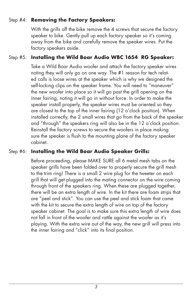### Step #4: **Removing the Factory Speakers:**

With the grills off the bike remove the 4 screws that secure the factory speaker to bike. Gently pull up each factory speaker so it's coming away from the bike and carefully remove the speaker wires. Put the factory speakers aside.

## Step #5: **Installing the Wild Boar Audio WBC 1654 RG Speaker:**

Take a Wild Boar Audio woofer and attach the factory speaker wires noting they will only go on one way. The #1 reason for tech related calls is loose wires at the speaker which is why we designed the self-locking clips on the speaker frame. You will need to "maneuver" the new woofer into place so it will go past the grill opening on the inner fairing, noting it will go in without force. In order to make the speaker install properly, the speaker wires must be oriented so they are closest to the top of the inner fairing (12 o'clock position). When installed correctly, the 2 small wires that go from the back of the speaker and "through" the speakers ring will also be in the 12 o'clock position. Reinstall the factory screws to secure the woofers in place making sure the speaker is flush to the mounting plane of the factory speaker cabinet.

### Step #6: **Installing the Wild Boar Audio Speaker Grills:**

Before proceeding, please MAKE SURE all 6 metal mesh tabs on the speaker grills have been folded over to properly secure the grill mesh to the trim ring! There is a small 2 wire plug for the tweeter on each grill that will get plugged into the mating connector on the wire coming through front of the speakers ring. When these are plugged together, there will be an extra length of wire. In the kit there are foam strips that are "peel and stick". You can use the peel and stick foam that came with the kit to secure the extra length of wire on top of the factory speaker cabinet. The goal is to make sure this extra length of wire does not fall in front of the woofer and rattle against the woofer as it's playing. With the extra wire out of the way, the new grill will press into the inner fairing and "click" into its final position.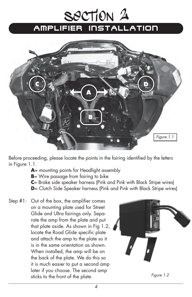# AMPLIFIER INSTALLATION section 2



Before proceeding, please locate the points in the fairing identified by the letters in Figure 1.1.

- **A**= mounting points for Headlight assembly
- **B**= Wire passage from fairing to bike
- **C**= Brake side speaker harness (Pink and Pink with Black Stripe wires)
- **D**= Clutch Side Speaker harness (Pink and Pink with Black Stripe wires)
- Step #1: Out of the box, the amplifier comes on a mounting plate used for Street Glide and Ultra fairings only. Separate the amp from the plate and put that plate aside. As shown in Fig 1.2, locate the Road Glide specific plate and attach the amp to the plate so it is in the same orientation as shown. When installed, the amp will be on the back of the plate. We do this so it is much easier to put a second amp later if you choose. The second amp sticks to the front of the plate.



*Figure 1.2*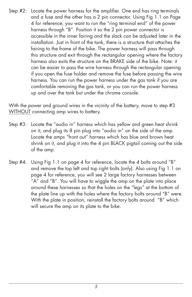Step #2: Locate the power harness for the amplifier. One end has ring terminals and a fuse and the other has a 2 pin connector. Using Fig 1.1 on Page 4 for reference, you want to run the "ring terminal end" of the power harness through "B". Position it so the 2 pin power connector is accessible in the inner fairing and the slack can be adjusted later in the installation. Just in front of the tank, there is a structure that attaches the fairing to the frame of the bike. The power harness will pass through this structure and exit through the rectangular opening where the factory harness also exits the structure on the BRAKE side of the bike. Note: it can be easier to pass the wire harness through the rectangular opening if you open the fuse holder and remove the fuse before passing the wire harness. You can run the power harness under the gas tank if you are comfortable removing the gas tank, or you can run the power harness up and over the tank but under the chrome console.

With the power and ground wires in the vicinity of the battery, move to step #3 WITHOUT connecting amp wires to battery.

- Step #3: Locate the "audio in" harness which has yellow and green heat shrink on it, and plug its 8 pin plug into "audio in" on the side of the amp. Locate the amps "front out" harness which has blue and brown heat shrink on it, and plug it into the 4 pin BLACK pigtail coming out the side of the amp.
- Step #4: Using Fig 1.1 on page 4 for reference, locate the 4 bolts around "B" and remove the top left and top right bolts (only). Also using Fig 1.1 on page 4 for reference, you will see 2 large factory harnesses between "A" and "B". You will have to wiggle the amp on the plate into place around these harnesses so that the holes on the "legs" at the bottom of the plate line up with the holes where the factory bolts around "B" were. With the plate in position, reinstall the factory bolts around "B" which will secure the amp on its plate to the bike.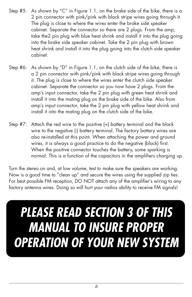- Step #5: As shown by "C" in Figure 1.1, on the brake side of the bike, there is a 2 pin connector with pink/pink with black stripe wires going through it. The plug is close to where the wires enter the brake side speaker cabinet. Separate the connector so there are 2 plugs. From the amp, take the2 pin plug with blue heat shrink and install it into the plug going into the brake side speaker cabinet. Take the 2 pin plug with brown heat shrink and install it into the plug going into the clutch side speaker cabinet.
- Step #6: As shown by "D" in Figure 1.1, on the clutch side of the bike, there is a 2 pin connector with pink/pink with black stripe wires going through it. The plug is close to where the wires enter the clutch side speaker cabinet. Separate the connector so you now have 2 plugs. From the amp's input connector, take the 2 pin plug with green heat shrink and install it into the mating plug on the brake side of the bike. Also from amp's input connector, take the 2 pin plug with yellow heat shrink and install it into the mating plug on the clutch side of the bike.
- Step #7: Attach the red wire to the positive (+) battery terminal and the black wire to the negative (-) battery terminal. The factory battery wires are also re-installed at this point. When attaching the power and ground wires, it is always a good practice to do the negative (black) first. When the positive connector touches the battery, some sparking is normal. This is a function of the capacitors in the amplifiers charging up.

Turn the stereo on and, at low volume, test to make sure the speakers are working. Now is a good time to "clean up" and secure the wires using the supplied zip ties. For best possible FM reception, DO NOT attach any of the amplifier's wiring to any factory antenna wires. Doing so will hurt your radios ability to receive FM signals!

# *PLEASE READ SECTION 3 OF THIS MANUAL TO INSURE PROPER OPERATION OF YOUR NEW SYSTEM*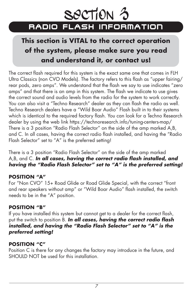

# **This section is VITAL to the correct operation of the system, please make sure you read and understand it, or contact us!**

The correct flash required for this system is the exact same one that comes in FLH Ultra Classics (non CVO Models). The factory refers to this flash as "upper fairing/ rear pods, zero amps". We understand that the flash we say to use indicates "zero amps" and that there is an amp in this system. The flash we indicate to use gives the correct sound and audio levels from the radio for the system to work correctly. You can also visit a "Techno Research" dealer as they can flash the radio as well. Techno Research dealers have a "Wild Boar Audio" Flash built in to their systems which is identical to the required factory flash. You can look for a Techno Research dealer by using the web link https://technoresearch.info/tuning-centers-map/ There is a 3 position "Radio Flash Selector" on the side of the amp marked A,B, and C. In all cases, having the correct radio flash installed, and having the "Radio Flash Selector" set to "A" is the preferred setting!

There is a 3 position "Radio Flash Selector" on the side of the amp marked A,B, and C. *In all cases, having the correct radio flash installed, and having the "Radio Flash Selector" set to "A" is the preferred setting!*

#### **POSITION "A"**

For "Non CVO" 15+ Road Glide or Road Glide Special, with the correct "front and rear speakers without amp" or "Wild Boar Audio" flash installed, the switch needs to be in the "A" position.

## **POSITION "B"**

If you have installed this system but cannot get to a dealer for the correct flash, put the switch to position B. *In all cases, having the correct radio flash installed, and having the "Radio Flash Selector" set to "A" is the preferred setting!*

## **POSITION "C"**

Position C is there for any changes the factory may introduce in the future, and SHOULD NOT be used for this installation.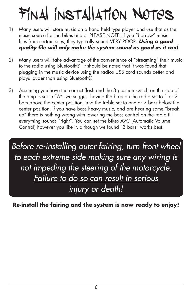# Final installation Notes

- 1) Many users will store music on a hand held type player and use that as the music source for the bikes audio. PLEASE NOTE: If you "borrow" music files from certain sites, they typically sound VERY POOR. *Using a good quality file will only make the system sound as good as it can!*
- 2) Many users will take advantage of the convenience of "streaming" their music to the radio using Bluetooth®. It should be noted that it was found that plugging in the music device using the radios USB cord sounds better and plays louder than using Bluetooth®.
- 3) Assuming you have the correct flash and the 3 position switch on the side of the amp is set to "A", we suggest having the bass on the radio set to 1 or 2 bars above the center position, and the treble set to one or 2 bars below the center position. If you have bass heavy music, and are hearing some "break up" there is nothing wrong with lowering the bass control on the radio till everything sounds "right". You can set the bikes AVC (Automatic Volume Control) however you like it, although we found "3 bars" works best.

*Before re-installing outer fairing, turn front wheel to each extreme side making sure any wiring is not impeding the steering of the motorcycle. Failure to do so can result in serious injury or death!*

**Re-install the fairing and the system is now ready to enjoy!**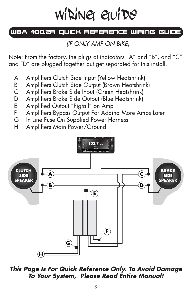# wi**ning** guide

# WBA 400.2R QUICK REFERENCE WIRING GUIDE

*(IF ONLY AMP ON BIKE)* 

Note: From the factory, the plugs at indicators "A" and "B", and "C" and "D" are plugged together but get separated for this install.

- A Amplifiers Clutch Side Input (Yellow Heatshrink)
- B Amplifiers Clutch Side Output (Brown Heatshrink)
- C Amplifiers Brake Side Input (Green Heatshrink)
- D Amplifiers Brake Side Output (Blue Heatshrink)
- E Amplified Output "Pigtail" on Amp
- F Amplifiers Bypass Output For Adding More Amps Later
- G In Line Fuse On Supplied Power Harness
- H Amplifiers Main Power/Ground



*This Page Is For Quick Reference Only. To Avoid Damage To Your System, Please Read Entire Manual!*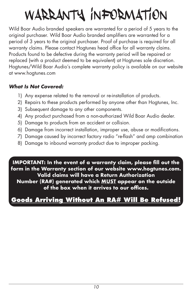# warranty information

Wild Boar Audio branded speakers are warranted for a period of 5 years to the original purchaser. Wild Boar Audio branded amplifiers are warranted for a period of 3 years to the original purchaser. Proof of purchase is required for all warranty claims. Please contact Hogtunes head office for all warranty claims. Products found to be defective during the warranty period will be repaired or replaced (with a product deemed to be equivalent) at Hogtunes sole discretion. Hogtunes/Wild Boar Audio's complete warranty policy is available on our website at www.hogtunes.com

## *What Is Not Covered:*

- 1) Any expense related to the removal or re-installation of products.
- 2) Repairs to these products performed by anyone other than Hogtunes, Inc.
- 3) Subsequent damage to any other components.
- 4) Any product purchased from a non-authorized Wild Boar Audio dealer.
- 5) Damage to products from an accident or collision.
- 6) Damage from incorrect installation, improper use, abuse or modifications.
- 7) Damage caused by incorrect factory radio "re-flash" and amp combination
- 8) Damage to inbound warranty product due to improper packing.

**IMPORTANT: In the event of a warranty claim, please fill out the form in the Warranty section of our website www.hogtunes.com. Valid claims will have a Return Authorization Number (RA#) generated which MUST appear on the outside of the box when it arrives to our offices.**

# **Goods Arriving Without An RA# Will Be Refused!**